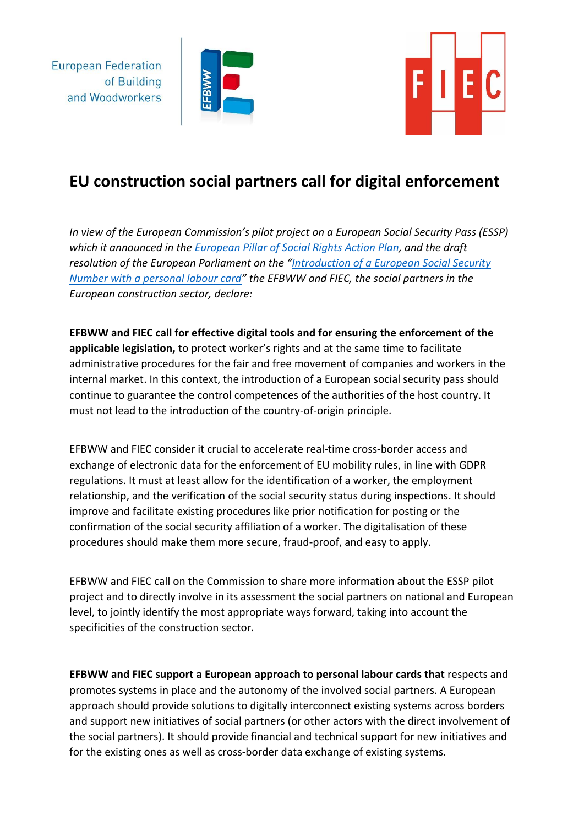

**European Federation** 

and Woodworkers

of Building



## **EU construction social partners call for digital enforcement**

*In view of the European Commission's pilot project on a European Social Security Pass (ESSP) which it announced in the [European Pillar of Social Rights Action Plan,](https://op.europa.eu/webpub/empl/european-pillar-of-social-rights/en/) and the draft resolution of the European Parliament on the "[Introduction of a European Social Security](https://www.europarl.europa.eu/meetdocs/2014_2019/plmrep/COMMITTEES/EMPL/RE/2021/06-14/1228335EN.pdf)  [Number with a personal labour card](https://www.europarl.europa.eu/meetdocs/2014_2019/plmrep/COMMITTEES/EMPL/RE/2021/06-14/1228335EN.pdf)" the EFBWW and FIEC, the social partners in the European construction sector, declare:*

**EFBWW and FIEC call for effective digital tools and for ensuring the enforcement of the applicable legislation,** to protect worker's rights and at the same time to facilitate administrative procedures for the fair and free movement of companies and workers in the internal market. In this context, the introduction of a European social security pass should continue to guarantee the control competences of the authorities of the host country. It must not lead to the introduction of the country-of-origin principle.

EFBWW and FIEC consider it crucial to accelerate real-time cross-border access and exchange of electronic data for the enforcement of EU mobility rules, in line with GDPR regulations. It must at least allow for the identification of a worker, the employment relationship, and the verification of the social security status during inspections. It should improve and facilitate existing procedures like prior notification for posting or the confirmation of the social security affiliation of a worker. The digitalisation of these procedures should make them more secure, fraud-proof, and easy to apply.

EFBWW and FIEC call on the Commission to share more information about the ESSP pilot project and to directly involve in its assessment the social partners on national and European level, to jointly identify the most appropriate ways forward, taking into account the specificities of the construction sector.

**EFBWW and FIEC support a European approach to personal labour cards that** respects and promotes systems in place and the autonomy of the involved social partners. A European approach should provide solutions to digitally interconnect existing systems across borders and support new initiatives of social partners (or other actors with the direct involvement of the social partners). It should provide financial and technical support for new initiatives and for the existing ones as well as cross-border data exchange of existing systems.